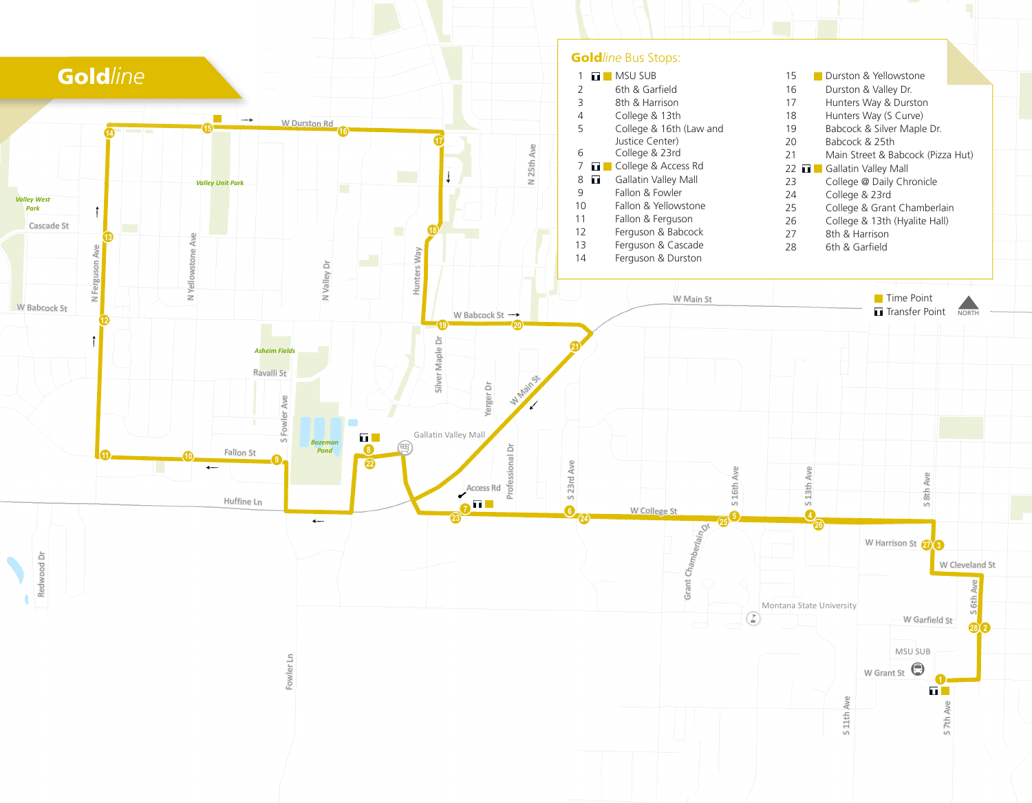